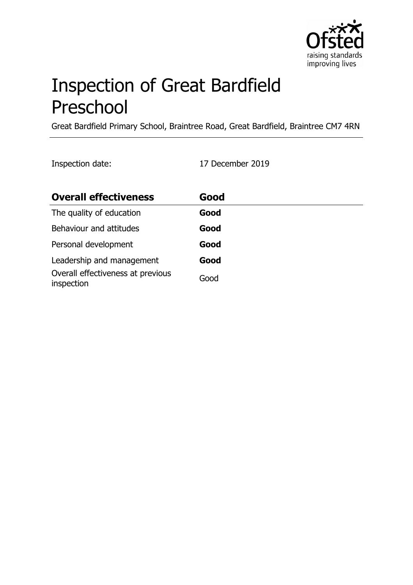

# Inspection of Great Bardfield Preschool

Great Bardfield Primary School, Braintree Road, Great Bardfield, Braintree CM7 4RN

Inspection date: 17 December 2019

| <b>Overall effectiveness</b>                    | Good |
|-------------------------------------------------|------|
| The quality of education                        | Good |
| Behaviour and attitudes                         | Good |
| Personal development                            | Good |
| Leadership and management                       | Good |
| Overall effectiveness at previous<br>inspection | Good |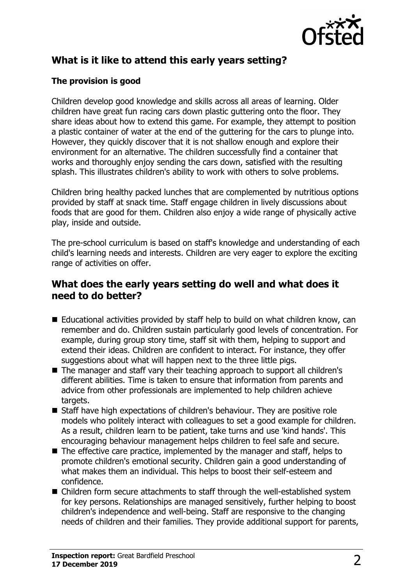

# **What is it like to attend this early years setting?**

## **The provision is good**

Children develop good knowledge and skills across all areas of learning. Older children have great fun racing cars down plastic guttering onto the floor. They share ideas about how to extend this game. For example, they attempt to position a plastic container of water at the end of the guttering for the cars to plunge into. However, they quickly discover that it is not shallow enough and explore their environment for an alternative. The children successfully find a container that works and thoroughly enjoy sending the cars down, satisfied with the resulting splash. This illustrates children's ability to work with others to solve problems.

Children bring healthy packed lunches that are complemented by nutritious options provided by staff at snack time. Staff engage children in lively discussions about foods that are good for them. Children also enjoy a wide range of physically active play, inside and outside.

The pre-school curriculum is based on staff's knowledge and understanding of each child's learning needs and interests. Children are very eager to explore the exciting range of activities on offer.

## **What does the early years setting do well and what does it need to do better?**

- $\blacksquare$  Educational activities provided by staff help to build on what children know, can remember and do. Children sustain particularly good levels of concentration. For example, during group story time, staff sit with them, helping to support and extend their ideas. Children are confident to interact. For instance, they offer suggestions about what will happen next to the three little pigs.
- The manager and staff vary their teaching approach to support all children's different abilities. Time is taken to ensure that information from parents and advice from other professionals are implemented to help children achieve targets.
- Staff have high expectations of children's behaviour. They are positive role models who politely interact with colleagues to set a good example for children. As a result, children learn to be patient, take turns and use 'kind hands'. This encouraging behaviour management helps children to feel safe and secure.
- $\blacksquare$  The effective care practice, implemented by the manager and staff, helps to promote children's emotional security. Children gain a good understanding of what makes them an individual. This helps to boost their self-esteem and confidence.
- $\blacksquare$  Children form secure attachments to staff through the well-established system for key persons. Relationships are managed sensitively, further helping to boost children's independence and well-being. Staff are responsive to the changing needs of children and their families. They provide additional support for parents,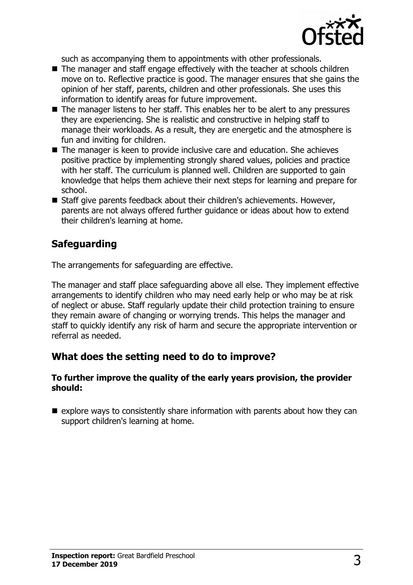

such as accompanying them to appointments with other professionals.

- $\blacksquare$  The manager and staff engage effectively with the teacher at schools children move on to. Reflective practice is good. The manager ensures that she gains the opinion of her staff, parents, children and other professionals. She uses this information to identify areas for future improvement.
- $\blacksquare$  The manager listens to her staff. This enables her to be alert to any pressures they are experiencing. She is realistic and constructive in helping staff to manage their workloads. As a result, they are energetic and the atmosphere is fun and inviting for children.
- The manager is keen to provide inclusive care and education. She achieves positive practice by implementing strongly shared values, policies and practice with her staff. The curriculum is planned well. Children are supported to gain knowledge that helps them achieve their next steps for learning and prepare for school.
- Staff give parents feedback about their children's achievements. However, parents are not always offered further guidance or ideas about how to extend their children's learning at home.

# **Safeguarding**

The arrangements for safeguarding are effective.

The manager and staff place safeguarding above all else. They implement effective arrangements to identify children who may need early help or who may be at risk of neglect or abuse. Staff regularly update their child protection training to ensure they remain aware of changing or worrying trends. This helps the manager and staff to quickly identify any risk of harm and secure the appropriate intervention or referral as needed.

# **What does the setting need to do to improve?**

#### **To further improve the quality of the early years provision, the provider should:**

 $\blacksquare$  explore ways to consistently share information with parents about how they can support children's learning at home.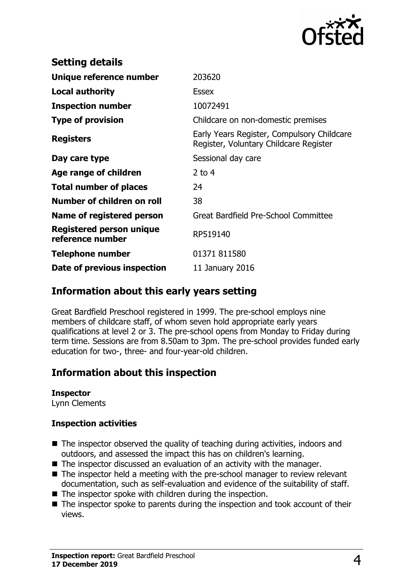

| <b>Setting details</b>                              |                                                                                      |
|-----------------------------------------------------|--------------------------------------------------------------------------------------|
| Unique reference number                             | 203620                                                                               |
| <b>Local authority</b>                              | <b>Essex</b>                                                                         |
| <b>Inspection number</b>                            | 10072491                                                                             |
| <b>Type of provision</b>                            | Childcare on non-domestic premises                                                   |
| <b>Registers</b>                                    | Early Years Register, Compulsory Childcare<br>Register, Voluntary Childcare Register |
| Day care type                                       | Sessional day care                                                                   |
| Age range of children                               | 2 to $4$                                                                             |
| <b>Total number of places</b>                       | 24                                                                                   |
| Number of children on roll                          | 38                                                                                   |
| Name of registered person                           | Great Bardfield Pre-School Committee                                                 |
| <b>Registered person unique</b><br>reference number | RP519140                                                                             |
| Telephone number                                    | 01371 811580                                                                         |
| Date of previous inspection                         | 11 January 2016                                                                      |

## **Information about this early years setting**

Great Bardfield Preschool registered in 1999. The pre-school employs nine members of childcare staff, of whom seven hold appropriate early years qualifications at level 2 or 3. The pre-school opens from Monday to Friday during term time. Sessions are from 8.50am to 3pm. The pre-school provides funded early education for two-, three- and four-year-old children.

# **Information about this inspection**

## **Inspector**

Lynn Clements

#### **Inspection activities**

- $\blacksquare$  The inspector observed the quality of teaching during activities, indoors and outdoors, and assessed the impact this has on children's learning.
- $\blacksquare$  The inspector discussed an evaluation of an activity with the manager.
- $\blacksquare$  The inspector held a meeting with the pre-school manager to review relevant documentation, such as self-evaluation and evidence of the suitability of staff.
- $\blacksquare$  The inspector spoke with children during the inspection.
- $\blacksquare$  The inspector spoke to parents during the inspection and took account of their views.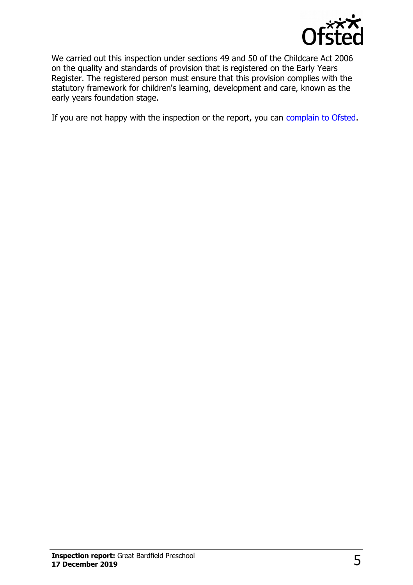

We carried out this inspection under sections 49 and 50 of the Childcare Act 2006 on the quality and standards of provision that is registered on the Early Years Register. The registered person must ensure that this provision complies with the statutory framework for children's learning, development and care, known as the early years foundation stage.

If you are not happy with the inspection or the report, you can [complain to Ofsted.](http://www.gov.uk/complain-ofsted-report)